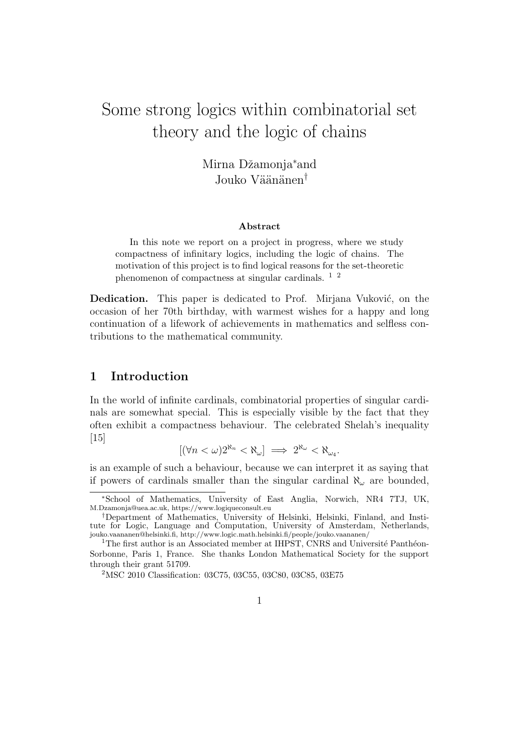# Some strong logics within combinatorial set theory and the logic of chains

Mirna Džamonja<sup>\*</sup>and Jouko Väänänen<sup>†</sup>

## Abstract

In this note we report on a project in progress, where we study compactness of infinitary logics, including the logic of chains. The motivation of this project is to find logical reasons for the set-theoretic phenomenon of compactness at singular cardinals. 1 2

**Dedication.** This paper is dedicated to Prof. Mirjana Vuković, on the occasion of her 70th birthday, with warmest wishes for a happy and long continuation of a lifework of achievements in mathematics and selfless contributions to the mathematical community.

# 1 Introduction

In the world of infinite cardinals, combinatorial properties of singular cardinals are somewhat special. This is especially visible by the fact that they often exhibit a compactness behaviour. The celebrated Shelah's inequality [15]

$$
[(\forall n<\omega)2^{\aleph_n}<\aleph_\omega]\implies 2^{\aleph_\omega}<\aleph_{\omega_4}.
$$

is an example of such a behaviour, because we can interpret it as saying that if powers of cardinals smaller than the singular cardinal  $\aleph_{\omega}$  are bounded,

<sup>∗</sup>School of Mathematics, University of East Anglia, Norwich, NR4 7TJ, UK, M.Dzamonja@uea.ac.uk, https://www.logiqueconsult.eu

<sup>†</sup>Department of Mathematics, University of Helsinki, Helsinki, Finland, and Institute for Logic, Language and Computation, University of Amsterdam, Netherlands, jouko.vaananen@helsinki.fi, http://www.logic.math.helsinki.fi/people/jouko.vaananen/

 $1$ The first author is an Associated member at IHPST, CNRS and Université Panthéon-Sorbonne, Paris 1, France. She thanks London Mathematical Society for the support through their grant 51709.

<sup>2</sup>MSC 2010 Classification: 03C75, 03C55, 03C80, 03C85, 03E75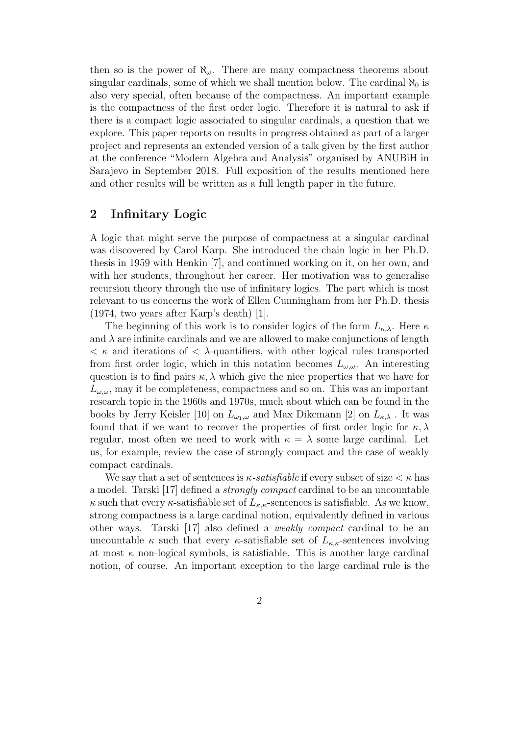then so is the power of  $\aleph_{\omega}$ . There are many compactness theorems about singular cardinals, some of which we shall mention below. The cardinal  $\aleph_0$  is also very special, often because of the compactness. An important example is the compactness of the first order logic. Therefore it is natural to ask if there is a compact logic associated to singular cardinals, a question that we explore. This paper reports on results in progress obtained as part of a larger project and represents an extended version of a talk given by the first author at the conference "Modern Algebra and Analysis" organised by ANUBiH in Sarajevo in September 2018. Full exposition of the results mentioned here and other results will be written as a full length paper in the future.

# 2 Infinitary Logic

A logic that might serve the purpose of compactness at a singular cardinal was discovered by Carol Karp. She introduced the chain logic in her Ph.D. thesis in 1959 with Henkin [7], and continued working on it, on her own, and with her students, throughout her career. Her motivation was to generalise recursion theory through the use of infinitary logics. The part which is most relevant to us concerns the work of Ellen Cunningham from her Ph.D. thesis (1974, two years after Karp's death) [1].

The beginning of this work is to consider logics of the form  $L_{\kappa,\lambda}$ . Here  $\kappa$ and  $\lambda$  are infinite cardinals and we are allowed to make conjunctions of length  $\langle \kappa \rangle$  and iterations of  $\langle \lambda$ -quantifiers, with other logical rules transported from first order logic, which in this notation becomes  $L_{\omega,\omega}$ . An interesting question is to find pairs  $\kappa$ ,  $\lambda$  which give the nice properties that we have for  $L_{\omega,\omega}$ , may it be completeness, compactness and so on. This was an important research topic in the 1960s and 1970s, much about which can be found in the books by Jerry Keisler [10] on  $L_{\omega_1,\omega}$  and Max Dikcmann [2] on  $L_{\kappa,\lambda}$ . It was found that if we want to recover the properties of first order logic for  $\kappa$ ,  $\lambda$ regular, most often we need to work with  $\kappa = \lambda$  some large cardinal. Let us, for example, review the case of strongly compact and the case of weakly compact cardinals.

We say that a set of sentences is  $\kappa$ -satisfiable if every subset of size  $\lt \kappa$  has a model. Tarski [17] defined a strongly compact cardinal to be an uncountable  $\kappa$  such that every  $\kappa$ -satisfiable set of  $L_{\kappa,\kappa}$ -sentences is satisfiable. As we know, strong compactness is a large cardinal notion, equivalently defined in various other ways. Tarski [17] also defined a weakly compact cardinal to be an uncountable  $\kappa$  such that every  $\kappa$ -satisfiable set of  $L_{\kappa,\kappa}$ -sentences involving at most  $\kappa$  non-logical symbols, is satisfiable. This is another large cardinal notion, of course. An important exception to the large cardinal rule is the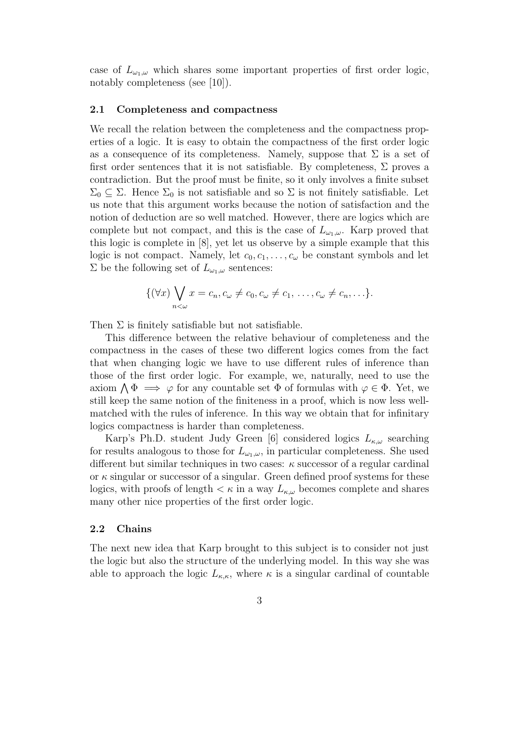case of  $L_{\omega_1,\omega}$  which shares some important properties of first order logic, notably completeness (see [10]).

### 2.1 Completeness and compactness

We recall the relation between the completeness and the compactness properties of a logic. It is easy to obtain the compactness of the first order logic as a consequence of its completeness. Namely, suppose that  $\Sigma$  is a set of first order sentences that it is not satisfiable. By completeness,  $\Sigma$  proves a contradiction. But the proof must be finite, so it only involves a finite subset  $\Sigma_0 \subseteq \Sigma$ . Hence  $\Sigma_0$  is not satisfiable and so  $\Sigma$  is not finitely satisfiable. Let us note that this argument works because the notion of satisfaction and the notion of deduction are so well matched. However, there are logics which are complete but not compact, and this is the case of  $L_{\omega_1,\omega}$ . Karp proved that this logic is complete in [8], yet let us observe by a simple example that this logic is not compact. Namely, let  $c_0, c_1, \ldots, c_{\omega}$  be constant symbols and let  $\Sigma$  be the following set of  $L_{\omega_1,\omega}$  sentences:

$$
\{(\forall x)\bigvee_{n<\omega}x=c_n,c_\omega\neq c_0,c_\omega\neq c_1,\ldots,c_\omega\neq c_n,\ldots\}.
$$

Then  $\Sigma$  is finitely satisfiable but not satisfiable.

This difference between the relative behaviour of completeness and the compactness in the cases of these two different logics comes from the fact that when changing logic we have to use different rules of inference than those of the first order logic. For example, we, naturally, need to use the axiom  $\bigwedge \Phi \implies \varphi$  for any countable set  $\Phi$  of formulas with  $\varphi \in \Phi$ . Yet, we still keep the same notion of the finiteness in a proof, which is now less wellmatched with the rules of inference. In this way we obtain that for infinitary logics compactness is harder than completeness.

Karp's Ph.D. student Judy Green [6] considered logics  $L_{\kappa,\omega}$  searching for results analogous to those for  $L_{\omega_1,\omega}$ , in particular completeness. She used different but similar techniques in two cases:  $\kappa$  successor of a regular cardinal or  $\kappa$  singular or successor of a singular. Green defined proof systems for these logics, with proofs of length  $\lt \kappa$  in a way  $L_{\kappa,\omega}$  becomes complete and shares many other nice properties of the first order logic.

### 2.2 Chains

The next new idea that Karp brought to this subject is to consider not just the logic but also the structure of the underlying model. In this way she was able to approach the logic  $L_{\kappa,\kappa}$ , where  $\kappa$  is a singular cardinal of countable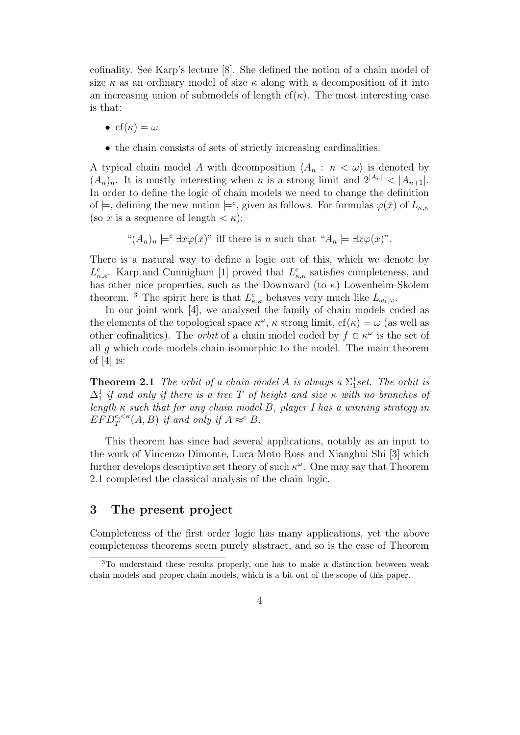cofinality. See Karp's lecture [8]. She defined the notion of a chain model of size  $\kappa$  as an ordinary model of size  $\kappa$  along with a decomposition of it into an increasing union of submodels of length  $cf(\kappa)$ . The most interesting case is that:

- cf( $\kappa$ ) =  $\omega$
- the chain consists of sets of strictly increasing cardinalities.

A typical chain model A with decomposition  $\langle A_n : n \langle \omega \rangle$  is denoted by  $(A_n)_n$ . It is mostly interesting when  $\kappa$  is a strong limit and  $2^{|A_n|} < |A_{n+1}|$ . In order to define the logic of chain models we need to change the definition of  $\models$ , defining the new notion  $\models^c$ , given as follows. For formulas  $\varphi(\bar{x})$  of  $L_{\kappa,\kappa}$ (so  $\bar{x}$  is a sequence of length  $\lt \kappa$ ):

" $(A_n)_n \models^c \exists \bar{x} \varphi(\bar{x})$ " iff there is n such that " $A_n \models \exists \bar{x} \varphi(\bar{x})$ ".

There is a natural way to define a logic out of this, which we denote by  $L_{\kappa,\kappa}^c$ . Karp and Cunnigham [1] proved that  $L_{\kappa,\kappa}^c$  satisfies completeness, and has other nice properties, such as the Downward (to  $\kappa$ ) Lowenheim-Skolem theorem. <sup>3</sup> The spirit here is that  $L_{\kappa,\kappa}^c$  behaves very much like  $L_{\omega_1,\omega}$ .

In our joint work [4], we analysed the family of chain models coded as the elements of the topological space  $\kappa^{\omega}$ ,  $\kappa$  strong limit,  $cf(\kappa) = \omega$  (as well as other cofinalities). The *orbit* of a chain model coded by  $f \in \kappa^{\omega}$  is the set of all  $q$  which code models chain-isomorphic to the model. The main theorem of  $[4]$  is:

**Theorem 2.1** The orbit of a chain model A is always a  $\Sigma_1^1$ set. The orbit is  $\Delta_1^1$  if and only if there is a tree T of height and size  $\kappa$  with no branches of length  $\kappa$  such that for any chain model B, player I has a winning strategy in  $EFD_T^{c,<\kappa}(A, B)$  if and only if  $A \approx^c B$ .

This theorem has since had several applications, notably as an input to the work of Vincenzo Dimonte, Luca Moto Ross and Xianghui Shi [3] which further develops descriptive set theory of such  $\kappa^{\omega}$ . One may say that Theorem 2.1 completed the classical analysis of the chain logic.

# 3 The present project

Completeness of the first order logic has many applications, yet the above completeness theorems seem purely abstract, and so is the case of Theorem

<sup>3</sup>To understand these results properly, one has to make a distinction between weak chain models and proper chain models, which is a bit out of the scope of this paper.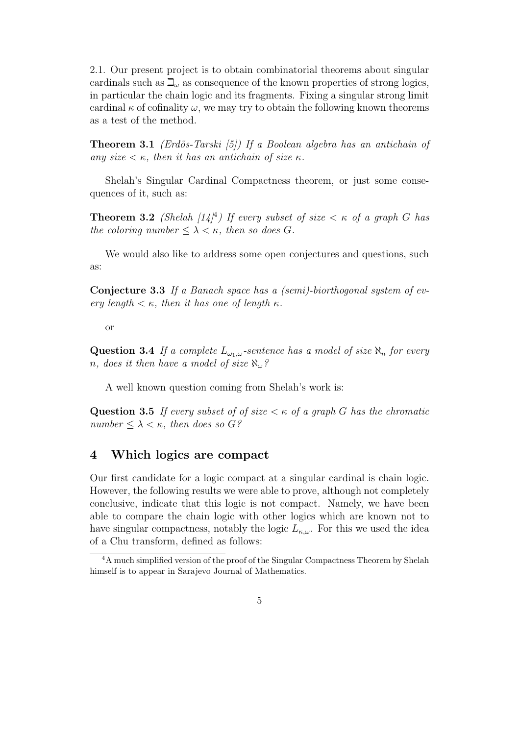2.1. Our present project is to obtain combinatorial theorems about singular cardinals such as  $\mathbb{L}_{\omega}$  as consequence of the known properties of strong logics, in particular the chain logic and its fragments. Fixing a singular strong limit cardinal  $\kappa$  of cofinality  $\omega$ , we may try to obtain the following known theorems as a test of the method.

**Theorem 3.1** (Erdös-Tarski [5]) If a Boolean algebra has an antichain of any size  $\lt \kappa$ , then it has an antichain of size  $\kappa$ .

Shelah's Singular Cardinal Compactness theorem, or just some consequences of it, such as:

**Theorem 3.2** (Shelah  $[14]^4$ ) If every subset of size  $\lt$   $\kappa$  of a graph G has the coloring number  $\leq \lambda < \kappa$ , then so does G.

We would also like to address some open conjectures and questions, such as:

Conjecture 3.3 If a Banach space has a (semi)-biorthogonal system of every length  $\lt \kappa$ , then it has one of length  $\kappa$ .

or

**Question 3.4** If a complete  $L_{\omega_1,\omega}$ -sentence has a model of size  $\aleph_n$  for every n, does it then have a model of size  $\aleph_{\omega}$ ?

A well known question coming from Shelah's work is:

**Question 3.5** If every subset of of size  $\lt \kappa$  of a graph G has the chromatic number  $\leq \lambda \leq \kappa$ , then does so G?

# 4 Which logics are compact

Our first candidate for a logic compact at a singular cardinal is chain logic. However, the following results we were able to prove, although not completely conclusive, indicate that this logic is not compact. Namely, we have been able to compare the chain logic with other logics which are known not to have singular compactness, notably the logic  $L_{\kappa,\omega}$ . For this we used the idea of a Chu transform, defined as follows:

<sup>&</sup>lt;sup>4</sup>A much simplified version of the proof of the Singular Compactness Theorem by Shelah himself is to appear in Sarajevo Journal of Mathematics.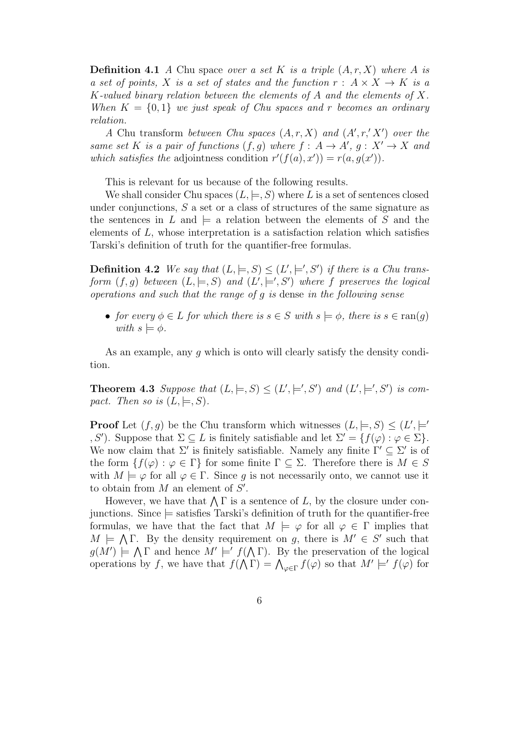**Definition 4.1** A Chu space over a set K is a triple  $(A, r, X)$  where A is a set of points, X is a set of states and the function  $r: A \times X \rightarrow K$  is a K-valued binary relation between the elements of  $A$  and the elements of  $X$ . When  $K = \{0, 1\}$  we just speak of Chu spaces and r becomes an ordinary relation.

A Chu transform between Chu spaces  $(A, r, X)$  and  $(A', r', X')$  over the same set K is a pair of functions  $(f, g)$  where  $f : A \rightarrow A', g : X' \rightarrow X$  and which satisfies the adjointness condition  $r'(f(a), x') = r(a, g(x'))$ .

This is relevant for us because of the following results.

We shall consider Chu spaces  $(L, \models, S)$  where L is a set of sentences closed under conjunctions, S a set or a class of structures of the same signature as the sentences in L and  $\models$  a relation between the elements of S and the elements of L, whose interpretation is a satisfaction relation which satisfies Tarski's definition of truth for the quantifier-free formulas.

**Definition 4.2** We say that  $(L, \models, S) \leq (L', \models', S')$  if there is a Chu transform  $(f, g)$  between  $(L, \models, S)$  and  $(L', \models', S')$  where f preserves the logical operations and such that the range of g is dense in the following sense

• for every  $\phi \in L$  for which there is  $s \in S$  with  $s \models \phi$ , there is  $s \in \text{ran}(q)$ with  $s \models \phi$ .

As an example, any g which is onto will clearly satisfy the density condition.

**Theorem 4.3** Suppose that  $(L, \models, S) \leq (L', \models', S')$  and  $(L', \models', S')$  is compact. Then so is  $(L, \models, S)$ .

**Proof** Let  $(f, g)$  be the Chu transform which witnesses  $(L, \models, S) \leq (L', \models')$ , S'). Suppose that  $\Sigma \subseteq L$  is finitely satisfiable and let  $\Sigma' = \{f(\varphi) : \varphi \in \Sigma\}.$ We now claim that  $\Sigma'$  is finitely satisfiable. Namely any finite  $\Gamma' \subseteq \Sigma'$  is of the form  $\{f(\varphi): \varphi \in \Gamma\}$  for some finite  $\Gamma \subseteq \Sigma$ . Therefore there is  $M \in S$ with  $M \models \varphi$  for all  $\varphi \in \Gamma$ . Since g is not necessarily onto, we cannot use it to obtain from  $M$  an element of  $S'$ .

However, we have that  $\bigwedge \Gamma$  is a sentence of L, by the closure under conjunctions. Since  $\models$  satisfies Tarski's definition of truth for the quantifier-free formulas, we have that the fact that  $M \models \varphi$  for all  $\varphi \in \Gamma$  implies that  $M \models \bigwedge \Gamma$ . By the density requirement on g, there is  $M' \in S'$  such that  $g(M') \models \bigwedge \Gamma$  and hence  $M' \models' f(\bigwedge \Gamma)$ . By the preservation of the logical operations by f, we have that  $f(\bigwedge \Gamma) = \bigwedge_{\varphi \in \Gamma} f(\varphi)$  so that  $M' \models' f(\varphi)$  for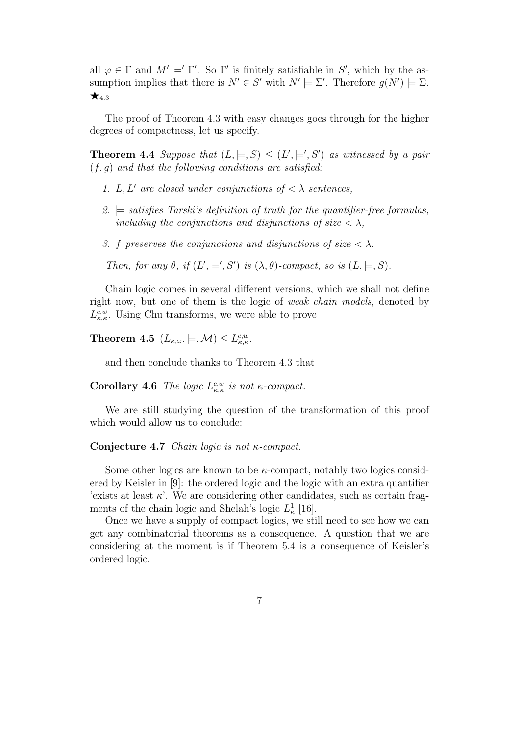all  $\varphi \in \Gamma$  and  $M' \models' \Gamma'$ . So  $\Gamma'$  is finitely satisfiable in S', which by the assumption implies that there is  $N' \in S'$  with  $N' \models \Sigma'$ . Therefore  $g(N') \models \Sigma$ .  $\star$ <sub>4.3</sub>

The proof of Theorem 4.3 with easy changes goes through for the higher degrees of compactness, let us specify.

**Theorem 4.4** Suppose that  $(L, \models, S) \leq (L', \models', S')$  as witnessed by a pair  $(f, g)$  and that the following conditions are satisfied:

- 1. L, L' are closed under conjunctions of  $\langle \ \rangle$  sentences,
- 2.  $\models$  satisfies Tarski's definition of truth for the quantifier-free formulas, including the conjunctions and disjunctions of size  $\langle \lambda, \rangle$
- 3. f preserves the conjunctions and disjunctions of size  $\langle \lambda \rangle$ .

Then, for any  $\theta$ , if  $(L', \models', S')$  is  $(\lambda, \theta)$ -compact, so is  $(L, \models, S)$ .

Chain logic comes in several different versions, which we shall not define right now, but one of them is the logic of weak chain models, denoted by  $L_{\kappa,\kappa}^{c,w}$ . Using Chu transforms, we were able to prove

**Theorem 4.5**  $(L_{\kappa,\omega},\models,\mathcal{M}) \leq L_{\kappa,\kappa}^{c,w}$ .

and then conclude thanks to Theorem 4.3 that

Corollary 4.6 The logic  $L_{\kappa,\kappa}^{c,w}$  is not  $\kappa$ -compact.

We are still studying the question of the transformation of this proof which would allow us to conclude:

## Conjecture 4.7 Chain logic is not κ-compact.

Some other logics are known to be  $\kappa$ -compact, notably two logics considered by Keisler in [9]: the ordered logic and the logic with an extra quantifier 'exists at least  $\kappa'$ . We are considering other candidates, such as certain fragments of the chain logic and Shelah's logic  $L^1_{\kappa}$  [16].

Once we have a supply of compact logics, we still need to see how we can get any combinatorial theorems as a consequence. A question that we are considering at the moment is if Theorem 5.4 is a consequence of Keisler's ordered logic.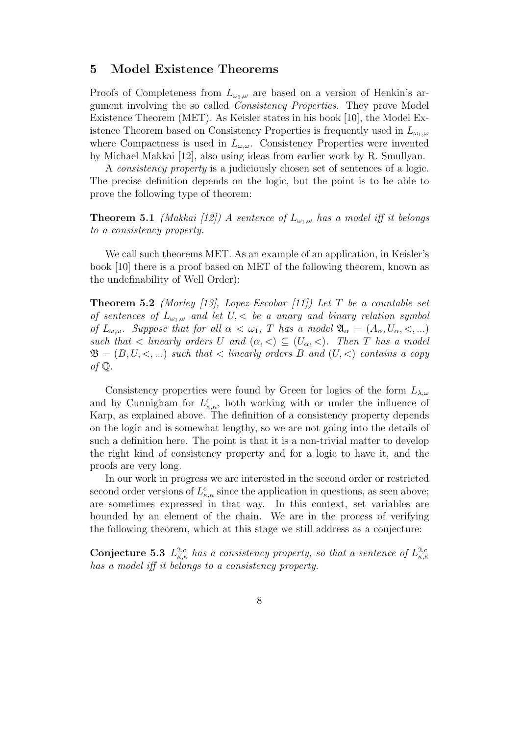# 5 Model Existence Theorems

Proofs of Completeness from  $L_{\omega_1,\omega}$  are based on a version of Henkin's argument involving the so called Consistency Properties. They prove Model Existence Theorem (MET). As Keisler states in his book [10], the Model Existence Theorem based on Consistency Properties is frequently used in  $L_{\omega_1,\omega}$ where Compactness is used in  $L_{\omega,\omega}$ . Consistency Properties were invented by Michael Makkai [12], also using ideas from earlier work by R. Smullyan.

A consistency property is a judiciously chosen set of sentences of a logic. The precise definition depends on the logic, but the point is to be able to prove the following type of theorem:

**Theorem 5.1** (Makkai [12]) A sentence of  $L_{\omega_1,\omega}$  has a model iff it belongs to a consistency property.

We call such theorems MET. As an example of an application, in Keisler's book [10] there is a proof based on MET of the following theorem, known as the undefinability of Well Order):

**Theorem 5.2** (Morley [13], Lopez-Escobar [11]) Let T be a countable set of sentences of  $L_{\omega_1,\omega}$  and let  $U<sub>1</sub>$ , be a unary and binary relation symbol of  $L_{\omega,\omega}$ . Suppose that for all  $\alpha < \omega_1$ , T has a model  $\mathfrak{A}_{\alpha} = (A_{\alpha}, U_{\alpha}, <, ...)$ such that  $\langle$  linearly orders U and  $(\alpha, \langle) \subseteq (U_{\alpha}, \langle)$ . Then T has a model  $\mathfrak{B} = (B, U, \leq, ...)$  such that  $\lt$  linearly orders B and  $(U, \lt)$  contains a copy of  $\mathbb Q$ .

Consistency properties were found by Green for logics of the form  $L_{\lambda,\omega}$ and by Cunnigham for  $L^c_{\kappa,\kappa}$ , both working with or under the influence of Karp, as explained above. The definition of a consistency property depends on the logic and is somewhat lengthy, so we are not going into the details of such a definition here. The point is that it is a non-trivial matter to develop the right kind of consistency property and for a logic to have it, and the proofs are very long.

In our work in progress we are interested in the second order or restricted second order versions of  $L^c_{\kappa,\kappa}$  since the application in questions, as seen above; are sometimes expressed in that way. In this context, set variables are bounded by an element of the chain. We are in the process of verifying the following theorem, which at this stage we still address as a conjecture:

**Conjecture 5.3**  $L_{\kappa,\kappa}^{2,c}$  has a consistency property, so that a sentence of  $L_{\kappa,\kappa}^{2,c}$ has a model iff it belongs to a consistency property.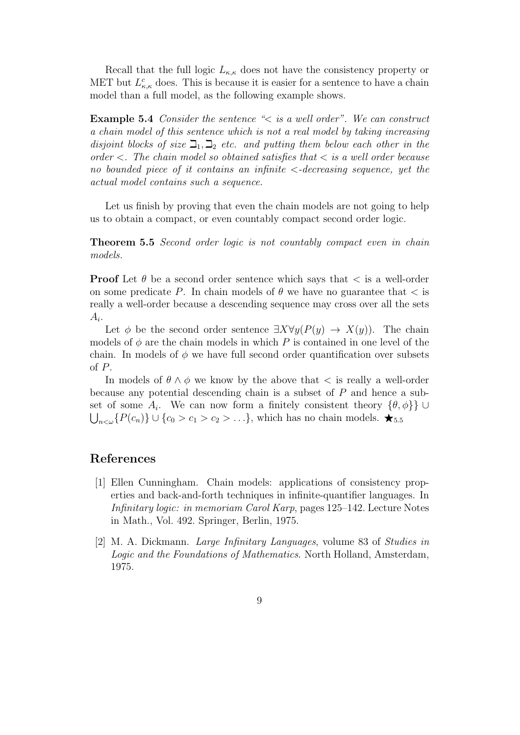Recall that the full logic  $L_{\kappa,\kappa}$  does not have the consistency property or MET but  $L_{\kappa,\kappa}^c$  does. This is because it is easier for a sentence to have a chain model than a full model, as the following example shows.

Example 5.4 Consider the sentence "< is a well order". We can construct a chain model of this sentence which is not a real model by taking increasing disjoint blocks of size  $\mathcal{I}_1, \mathcal{I}_2$  etc. and putting them below each other in the order  $\langle$ . The chain model so obtained satisfies that  $\langle$  is a well order because no bounded piece of it contains an infinite  $\langle -\text{decreasing} \rangle$  sequence, yet the actual model contains such a sequence.

Let us finish by proving that even the chain models are not going to help us to obtain a compact, or even countably compact second order logic.

Theorem 5.5 Second order logic is not countably compact even in chain models.

**Proof** Let  $\theta$  be a second order sentence which says that  $\lt$  is a well-order on some predicate P. In chain models of  $\theta$  we have no guarantee that  $\lt$  is really a well-order because a descending sequence may cross over all the sets  $A_i$ .

Let  $\phi$  be the second order sentence  $\exists X \forall y (P(y) \rightarrow X(y))$ . The chain models of  $\phi$  are the chain models in which P is contained in one level of the chain. In models of  $\phi$  we have full second order quantification over subsets of P.

In models of  $\theta \wedge \phi$  we know by the above that  $\lt$  is really a well-order because any potential descending chain is a subset of  $P$  and hence a subset of some  $A_i$ . We can now form a finitely consistent theory  $\{\theta, \phi\}\}\cup$  $\bigcup_{n<\omega}\{P(c_n)\}\cup\{c_0>c_1>c_2>\ldots\}$ , which has no chain models.  $\bigstar_{5.5}$ 

# References

- [1] Ellen Cunningham. Chain models: applications of consistency properties and back-and-forth techniques in infinite-quantifier languages. In Infinitary logic: in memoriam Carol Karp, pages 125–142. Lecture Notes in Math., Vol. 492. Springer, Berlin, 1975.
- [2] M. A. Dickmann. Large Infinitary Languages, volume 83 of Studies in Logic and the Foundations of Mathematics. North Holland, Amsterdam, 1975.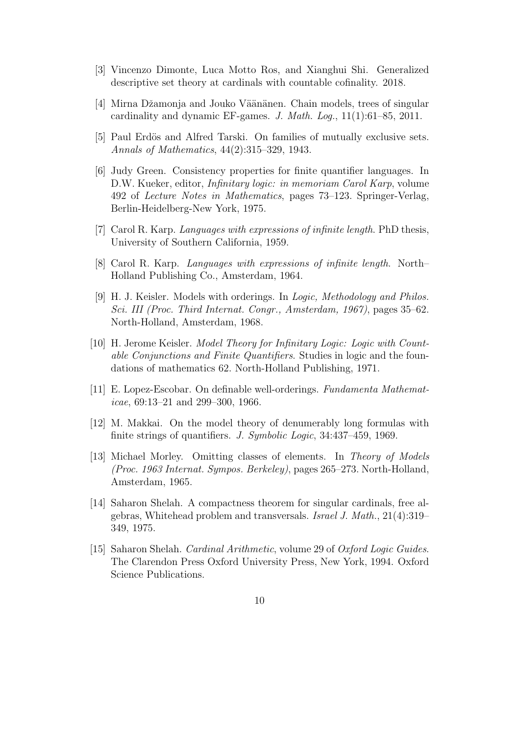- [3] Vincenzo Dimonte, Luca Motto Ros, and Xianghui Shi. Generalized descriptive set theory at cardinals with countable cofinality. 2018.
- [4] Mirna Džamonja and Jouko Väänänen. Chain models, trees of singular cardinality and dynamic EF-games. J. Math. Log., 11(1):61–85, 2011.
- [5] Paul Erdös and Alfred Tarski. On families of mutually exclusive sets. Annals of Mathematics, 44(2):315–329, 1943.
- [6] Judy Green. Consistency properties for finite quantifier languages. In D.W. Kueker, editor, Infinitary logic: in memoriam Carol Karp, volume 492 of Lecture Notes in Mathematics, pages 73–123. Springer-Verlag, Berlin-Heidelberg-New York, 1975.
- [7] Carol R. Karp. Languages with expressions of infinite length. PhD thesis, University of Southern California, 1959.
- [8] Carol R. Karp. Languages with expressions of infinite length. North– Holland Publishing Co., Amsterdam, 1964.
- [9] H. J. Keisler. Models with orderings. In Logic, Methodology and Philos. Sci. III (Proc. Third Internat. Congr., Amsterdam, 1967), pages 35–62. North-Holland, Amsterdam, 1968.
- [10] H. Jerome Keisler. Model Theory for Infinitary Logic: Logic with Countable Conjunctions and Finite Quantifiers. Studies in logic and the foundations of mathematics 62. North-Holland Publishing, 1971.
- [11] E. Lopez-Escobar. On definable well-orderings. Fundamenta Mathematicae, 69:13–21 and 299–300, 1966.
- [12] M. Makkai. On the model theory of denumerably long formulas with finite strings of quantifiers. J. Symbolic Logic, 34:437–459, 1969.
- [13] Michael Morley. Omitting classes of elements. In Theory of Models (Proc. 1963 Internat. Sympos. Berkeley), pages 265–273. North-Holland, Amsterdam, 1965.
- [14] Saharon Shelah. A compactness theorem for singular cardinals, free algebras, Whitehead problem and transversals. Israel J. Math., 21(4):319– 349, 1975.
- [15] Saharon Shelah. Cardinal Arithmetic, volume 29 of Oxford Logic Guides. The Clarendon Press Oxford University Press, New York, 1994. Oxford Science Publications.